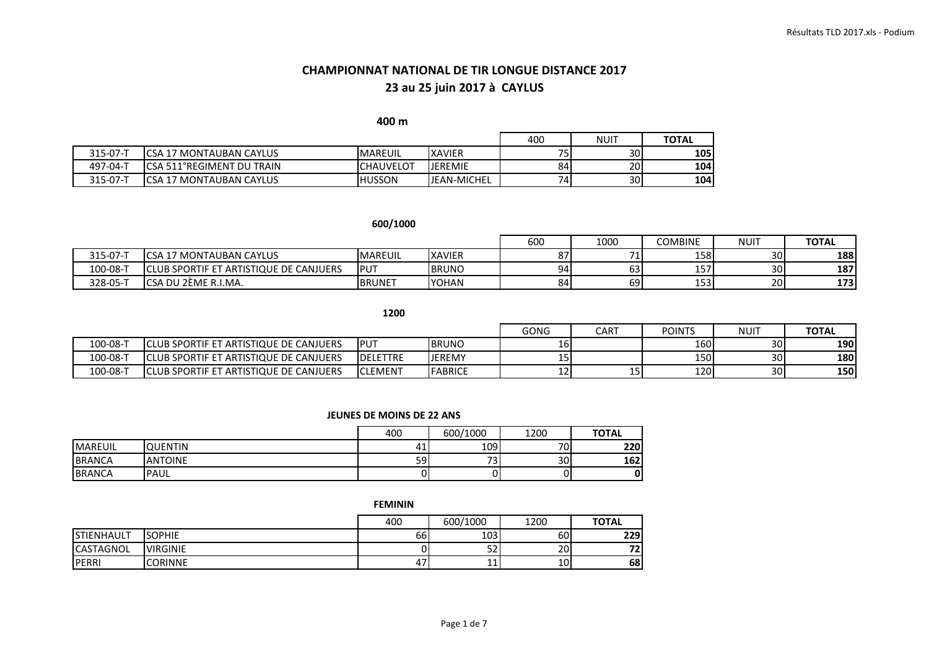**400 m** 

|          |                                      |                  |                    |      | NUIT            | <b>TOTAL</b> |
|----------|--------------------------------------|------------------|--------------------|------|-----------------|--------------|
| 315-07-T | ICSA 17 MONTAUBAN CAYLUS             | <b>MAREUIL</b>   | <b>XAVIER</b>      | تر س | 30 <sup>1</sup> | 105 l        |
| 497-04-T | ICSA 511°REGIMENT DU TRAIN           | <b>CHAUVELOT</b> | <b>JEREMIE</b>     | 84   | 20 <sup>1</sup> | 104 l        |
| 315-07-T | <b>CSA 17</b><br>l7 MONTAUBAN CAYLUS | IHUSSON          | <b>JEAN-MICHEL</b> | 741  | 30 <sup>l</sup> | 104 l        |

#### **600/1000**

|              |                                              |                | 600           | 1000          | <b>COMBINE</b> | NUIT  | <b>TOTAL</b>    |      |
|--------------|----------------------------------------------|----------------|---------------|---------------|----------------|-------|-----------------|------|
| $315 - 07 -$ | ' MONTAUBAN CAYLUS<br>∽ເ∆                    | <b>MAREUIL</b> | <b>XAVIER</b> | 07<br>$\circ$ |                | 158 l | 30 <sup>l</sup> | 188  |
| 100-08-1     | LUB SPORTIF ET ARTISTIQUE DE CANJUERS<br>וחו | <b>IPUT</b>    | <b>BRUNO</b>  | 94            | 63             | 157   | 30 <sup>1</sup> | 187  |
| $328 - 05 -$ | <b>CSA</b><br>\ DU 2ÈME R.I.MA               | <b>BRUNET</b>  | <b>IYOHAN</b> | 84            | 69l            | 153   | <b>201</b>      | 1731 |

**1200**

|          |                                                    |                  |                | GONG    | <b>CART</b> | <b>POINTS</b> | <b>NUIT</b>     | <b>TOTAL</b> |
|----------|----------------------------------------------------|------------------|----------------|---------|-------------|---------------|-----------------|--------------|
| 100-08-1 | LUB SPORTIF ET<br>T ARTISTIQUE DE CANJUERS<br>ורו  | <b>PUT</b>       | <b>IBRUNO</b>  | 10 L    |             | 160           | 30I             | <b>190 </b>  |
| 100-08-  | LUB SPORTIF ET.<br>T ARTISTIQUE DE CANJUERS<br>וחו | <b>IDELETTRE</b> | <b>IJEREMY</b> | י כ⊥    |             | 150 <b>1</b>  | 30I             | <b>1801</b>  |
| 100-08-T | T ARTISTIQUE DE CANJUERS<br>LLUB SPORTIF ET<br>וחו | <b>CLEMENT</b>   | <b>FABRICE</b> | <b></b> | --          | 120           | 30 <sup>1</sup> | <b>150 </b>  |

#### **JEUNES DE MOINS DE 22 ANS**

|                 |                | 400 | 600/1000                       | 1200            | <b>TOTAL</b> |
|-----------------|----------------|-----|--------------------------------|-----------------|--------------|
| <b>IMAREUIL</b> | <b>QUENTIN</b> |     | 109                            | 70 <sub>1</sub> | 220          |
| <b>BRANCA</b>   | <b>ANTOINE</b> | 59  | $\overline{\phantom{a}}$<br>ِب | 30              | 162          |
| <b>BRANCA</b>   | <b>PAUL</b>    |     | ΩI                             |                 |              |

**FEMININ**

|                    |                 | 400 | 600/1000  | 1200 | <b>TOTAL</b> |
|--------------------|-----------------|-----|-----------|------|--------------|
| <b>ISTIENHAULT</b> | <b>SOPHIE</b>   | 66  | 103       | 60   | 229          |
| <b>CASTAGNOL</b>   | <b>VIRGINIE</b> |     | - -<br>ےر | 20   | 71<br>74     |
| <b>IPERRI</b>      | <b>CORINNE</b>  | 4   | ᆠ         | 10   | 68           |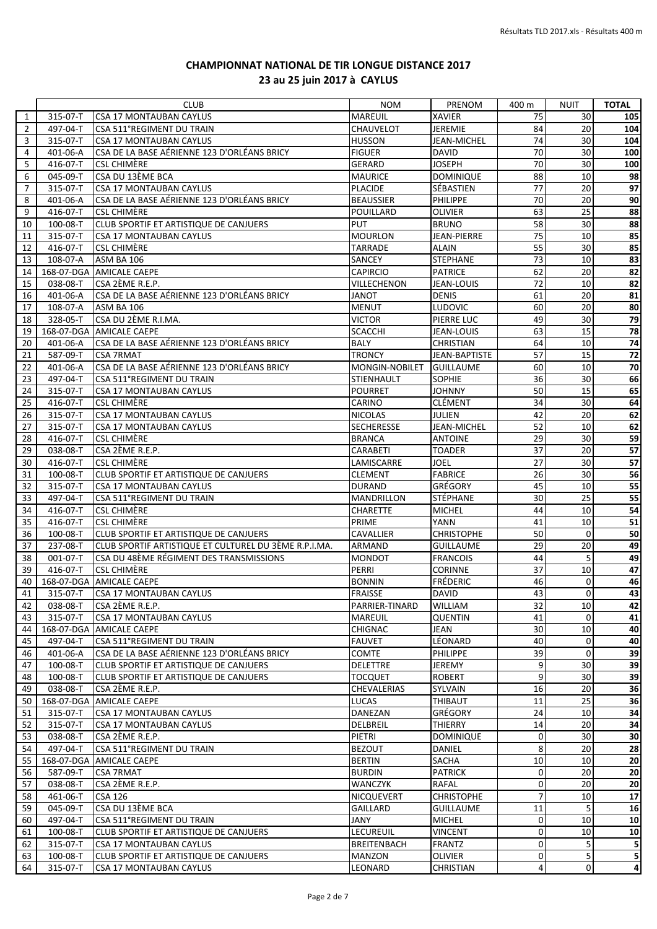|                |                      | <b>CLUB</b>                                           | <b>NOM</b>         | PRENOM                      | 400 m             | NUIT           | <b>TOTAL</b>            |
|----------------|----------------------|-------------------------------------------------------|--------------------|-----------------------------|-------------------|----------------|-------------------------|
| 1              | 315-07-T             | CSA 17 MONTAUBAN CAYLUS                               | <b>MAREUIL</b>     | <b>XAVIER</b>               | 75                | 30             | 105                     |
| $\overline{2}$ | 497-04-T             | CSA 511°REGIMENT DU TRAIN                             | <b>CHAUVELOT</b>   | <b>JEREMIE</b>              | 84                | 20             | 104                     |
| 3              | 315-07-T             | CSA 17 MONTAUBAN CAYLUS                               | <b>HUSSON</b>      | JEAN-MICHEL                 | 74                | 30             | 104                     |
| 4              | 401-06-A             | CSA DE LA BASE AÉRIENNE 123 D'ORLÉANS BRICY           | <b>FIGUER</b>      | DAVID                       | 70                | 30             | 100                     |
| 5              | 416-07-T             | <b>CSL CHIMÈRE</b>                                    | <b>GERARD</b>      | JOSEPH                      | 70                | 30             | 100                     |
| 6              | 045-09-T             | CSA DU 13ÈME BCA                                      | <b>MAURICE</b>     | <b>DOMINIQUE</b>            | 88                | 10             | 98                      |
| 7              | 315-07-T             | CSA 17 MONTAUBAN CAYLUS                               | <b>PLACIDE</b>     | SÉBASTIEN                   | 77                | 20             | 97                      |
| 8              | 401-06-A             | CSA DE LA BASE AÉRIENNE 123 D'ORLÉANS BRICY           | <b>BEAUSSIER</b>   | PHILIPPE                    | 70                | 20             | 90                      |
| 9              | 416-07-T             | <b>CSL CHIMÈRE</b>                                    | POUILLARD          | <b>OLIVIER</b>              | 63                | 25             | 88                      |
| 10             | 100-08-T             | CLUB SPORTIF ET ARTISTIQUE DE CANJUERS                | <b>PUT</b>         | <b>BRUNO</b>                | 58                | 30             | 88                      |
| 11             | 315-07-T             | <b>CSA 17 MONTAUBAN CAYLUS</b>                        | <b>MOURLON</b>     | JEAN-PIERRE                 | 75                | 10             | 85                      |
| 12             | 416-07-T             | <b>CSL CHIMÈRE</b>                                    | <b>TARRADE</b>     | <b>ALAIN</b>                | 55                | 30             | 85                      |
| 13             | 108-07-A             | ASM BA 106                                            | SANCEY             | <b>STEPHANE</b>             | $\overline{73}$   | 10             | 83                      |
| 14             | 168-07-DGA           | <b>AMICALE CAEPE</b>                                  | <b>CAPIRCIO</b>    | <b>PATRICE</b>              | 62                | 20             | 82                      |
| 15             | 038-08-T             | CSA 2ÈME R.E.P.                                       | VILLECHENON        | <b>JEAN-LOUIS</b>           | 72                | 10             | 82                      |
| 16             | 401-06-A             | CSA DE LA BASE AÉRIENNE 123 D'ORLÉANS BRICY           | <b>JANOT</b>       | <b>DENIS</b>                | 61                | 20             | 81                      |
| 17             | 108-07-A             | ASM BA 106                                            | <b>MENUT</b>       | LUDOVIC                     | 60                | 20             | 80                      |
| 18             | 328-05-T             | CSA DU 2ÈME R.I.MA.                                   | <b>VICTOR</b>      | PIERRE LUC                  | 49                | 30             | 79                      |
| 19             |                      | 168-07-DGA AMICALE CAEPE                              | <b>SCACCHI</b>     | <b>JEAN-LOUIS</b>           | 63                | 15             | 78                      |
|                | 401-06-A             |                                                       | <b>BALY</b>        |                             | 64                | 10             |                         |
| 20             |                      | CSA DE LA BASE AÉRIENNE 123 D'ORLÉANS BRICY           |                    | <b>CHRISTIAN</b>            |                   |                | 74                      |
| 21             | 587-09-T             | <b>CSA 7RMAT</b>                                      | <b>TRONCY</b>      | JEAN-BAPTISTE               | 57                | 15             | 72                      |
| 22             | 401-06-A             | CSA DE LA BASE AÉRIENNE 123 D'ORLÉANS BRICY           | MONGIN-NOBILET     | <b>GUILLAUME</b>            | 60                | 10             | 70                      |
| 23             | 497-04-T             | CSA 511°REGIMENT DU TRAIN                             | <b>STIENHAULT</b>  | SOPHIE                      | 36                | 30             | 66                      |
| 24             | 315-07-T             | CSA 17 MONTAUBAN CAYLUS                               | <b>POURRET</b>     | <b>JOHNNY</b>               | 50                | 15             | 65                      |
| 25             | 416-07-T             | <b>CSL CHIMÈRE</b>                                    | <b>CARINO</b>      | <b>CLÉMENT</b>              | 34                | 30             | 64                      |
| 26             | 315-07-T             | CSA 17 MONTAUBAN CAYLUS                               | <b>NICOLAS</b>     | JULIEN                      | 42                | 20             | 62                      |
| 27             | 315-07-T             | CSA 17 MONTAUBAN CAYLUS                               | <b>SECHERESSE</b>  | <b>JEAN-MICHEL</b>          | 52                | 10             | 62                      |
| 28             | 416-07-T             | <b>CSL CHIMÈRE</b>                                    | <b>BRANCA</b>      | ANTOINE                     | 29                | 30             | 59                      |
| 29             | 038-08-T             | CSA 2ÈME R.E.P.                                       | <b>CARABETI</b>    | <b>TOADER</b>               | 37                | 20             | 57                      |
| 30             | 416-07-T             | <b>CSL CHIMÈRE</b>                                    | LAMISCARRE         | JOEL                        | 27                | 30             | 57                      |
| 31             | 100-08-T             | CLUB SPORTIF ET ARTISTIQUE DE CANJUERS                | <b>CLEMENT</b>     | <b>FABRICE</b>              | 26                | 30             | 56                      |
| 32             | 315-07-T             | CSA 17 MONTAUBAN CAYLUS                               | <b>DURAND</b>      | GRÉGORY                     | 45                | 10             | 55                      |
| 33             | 497-04-T             | CSA 511°REGIMENT DU TRAIN                             | <b>MANDRILLON</b>  | STÉPHANE                    | 30                | 25             | 55                      |
| 34             | 416-07-T             | <b>CSL CHIMÈRE</b>                                    | <b>CHARETTE</b>    | <b>MICHEL</b>               | 44                | 10             | 54                      |
| 35             | 416-07-T             | <b>CSL CHIMÈRE</b>                                    | PRIME              | YANN                        | 41                | 10             | 51                      |
| 36             | 100-08-T             | CLUB SPORTIF ET ARTISTIQUE DE CANJUERS                | <b>CAVALLIER</b>   | <b>CHRISTOPHE</b>           | 50                | $\mathbf{0}$   | 50                      |
| 37             | 237-08-T             | CLUB SPORTIF ARTISTIQUE ET CULTUREL DU 3ÈME R.P.I.MA. | ARMAND             | <b>GUILLAUME</b>            | 29                | 20             | 49                      |
| 38             | $001-07-T$           | CSA DU 48ÈME RÉGIMENT DES TRANSMISSIONS               | <b>MONDOT</b>      | <b>FRANCOIS</b>             | 44                | 5              | 49                      |
| 39             | 416-07-T             | <b>CSL CHIMÈRE</b>                                    | PERRI              | <b>CORINNE</b>              | 37                | 10             | 47                      |
| 40             |                      | 168-07-DGA AMICALE CAEPE                              | <b>BONNIN</b>      | <b>FRÉDERIC</b>             | 46                | $\mathbf 0$    | 46                      |
| 41             |                      | 315-07-T CSA 17 MONTAUBAN CAYLUS                      | <b>FRAISSE</b>     | <b>DAVID</b>                | 43                | $\Omega$       | $\overline{a}$          |
| 42             | 038-08-T             | CSA 2ÈME R.E.P.                                       | PARRIER-TINARD     | WILLIAM                     | 32                | 10             | 42                      |
| 43             | 315-07-T             | CSA 17 MONTAUBAN CAYLUS                               | <b>MAREUIL</b>     | <b>QUENTIN</b>              | 41                | $\mathbf 0$    | 41                      |
| 44             |                      | 168-07-DGA AMICALE CAEPE                              | <b>CHIGNAC</b>     | JEAN                        | 30                | 10             | 40                      |
| 45             | 497-04-T             | CSA 511°REGIMENT DU TRAIN                             | <b>FAUVET</b>      | LÉONARD                     | 40                | $\mathbf 0$    | 40                      |
| 46             | 401-06-A             | CSA DE LA BASE AÉRIENNE 123 D'ORLÉANS BRICY           | <b>COMTE</b>       | <b>PHILIPPE</b>             | 39                | $\mathbf 0$    | 39                      |
| 47             | 100-08-T             | CLUB SPORTIF ET ARTISTIQUE DE CANJUERS                | <b>DELETTRE</b>    | <b>JEREMY</b>               | 9                 | 30             | 39                      |
| 48             | 100-08-T             | CLUB SPORTIF ET ARTISTIQUE DE CANJUERS                | <b>TOCQUET</b>     | <b>ROBERT</b>               | 9                 | 30             | 39                      |
| 49             | 038-08-T             | CSA 2ÈME R.E.P.                                       | <b>CHEVALERIAS</b> | SYLVAIN                     | 16                | 20             | 36                      |
| 50             |                      | 168-07-DGA AMICALE CAEPE                              | <b>LUCAS</b>       | THIBAUT                     | 11                | 25             | 36                      |
| 51             | 315-07-T             | CSA 17 MONTAUBAN CAYLUS                               | <b>DANEZAN</b>     | GRÉGORY                     | 24                | 10             |                         |
|                |                      |                                                       |                    |                             |                   |                | 34                      |
| 52             | 315-07-T<br>038-08-T | <b>CSA 17 MONTAUBAN CAYLUS</b><br>CSA 2ÈME R.E.P.     | DELBREIL           | THIERRY<br><b>DOMINIQUE</b> | 14<br>$\mathbf 0$ | 20<br>30       | 34<br>30                |
| 53             |                      |                                                       | PIETRI             |                             |                   |                |                         |
| 54             | 497-04-T             | CSA 511°REGIMENT DU TRAIN                             | <b>BEZOUT</b>      | DANIEL                      | 8                 | 20             | 28                      |
| 55             | 168-07-DGA           | <b>AMICALE CAEPE</b>                                  | <b>BERTIN</b>      | SACHA                       | 10                | 10             | 20                      |
| 56             | 587-09-T             | <b>CSA 7RMAT</b>                                      | <b>BURDIN</b>      | <b>PATRICK</b>              | 0                 | 20             | 20                      |
| 57             | 038-08-T             | CSA 2ÈME R.E.P.                                       | WANCZYK            | RAFAL                       | 0                 | 20             | 20                      |
| 58             | 461-06-T             | <b>CSA 126</b>                                        | <b>NICQUEVERT</b>  | <b>CHRISTOPHE</b>           | $\overline{7}$    | 10             | 17                      |
| 59             | 045-09-T             | CSA DU 13ÈME BCA                                      | <b>GAILLARD</b>    | <b>GUILLAUME</b>            | 11                | 5              | 16                      |
| 60             | 497-04-T             | CSA 511°REGIMENT DU TRAIN                             | JANY               | <b>MICHEL</b>               | $\mathbf 0$       | 10             | 10                      |
| 61             | 100-08-T             | CLUB SPORTIF ET ARTISTIQUE DE CANJUERS                | <b>LECUREUIL</b>   | <b>VINCENT</b>              | 0                 | 10             | 10                      |
| 62             | 315-07-T             | CSA 17 MONTAUBAN CAYLUS                               | <b>BREITENBACH</b> | FRANTZ                      | $\mathbf 0$       | 5              | 5 <sub>5</sub>          |
| 63             | 100-08-T             | CLUB SPORTIF ET ARTISTIQUE DE CANJUERS                | <b>MANZON</b>      | <b>OLIVIER</b>              | 0                 | 5              | 5                       |
| 64             | 315-07-T             | CSA 17 MONTAUBAN CAYLUS                               | LEONARD            | CHRISTIAN                   | 4                 | $\overline{0}$ | $\overline{\mathbf{a}}$ |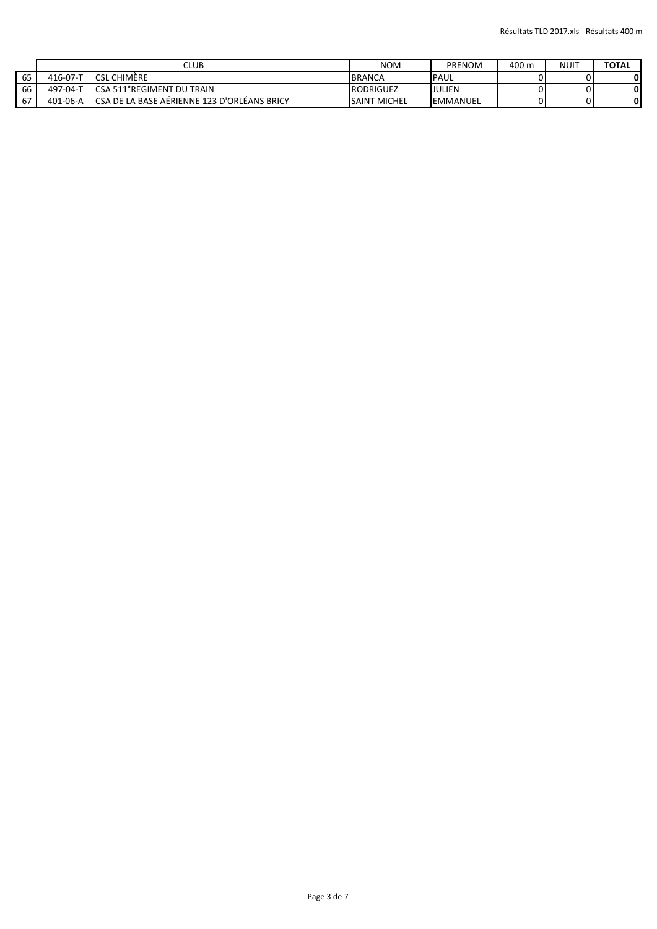|    |                | CLUB                                         | <b>NOM</b>          | PRENOM           | 400 m | <b>NUIT</b> | <b>TOTAL</b> |
|----|----------------|----------------------------------------------|---------------------|------------------|-------|-------------|--------------|
| 65 | 416-07-T       | <b>ICSL CHIMÈRE</b>                          | <b>BRANCA</b>       | <b>IPAUL</b>     |       |             |              |
| 66 | ד-197-04       | <b>ICSA 511°REGIMENT DU TRAIN</b>            | <b>RODRIGUEZ</b>    | JULIEN           |       |             |              |
| 67 | $401 - 06 - A$ | ICSA DE LA BASE AÉRIENNE 123 D'ORLÉANS BRICY | <b>SAINT MICHEL</b> | <b>IEMMANUEL</b> |       |             |              |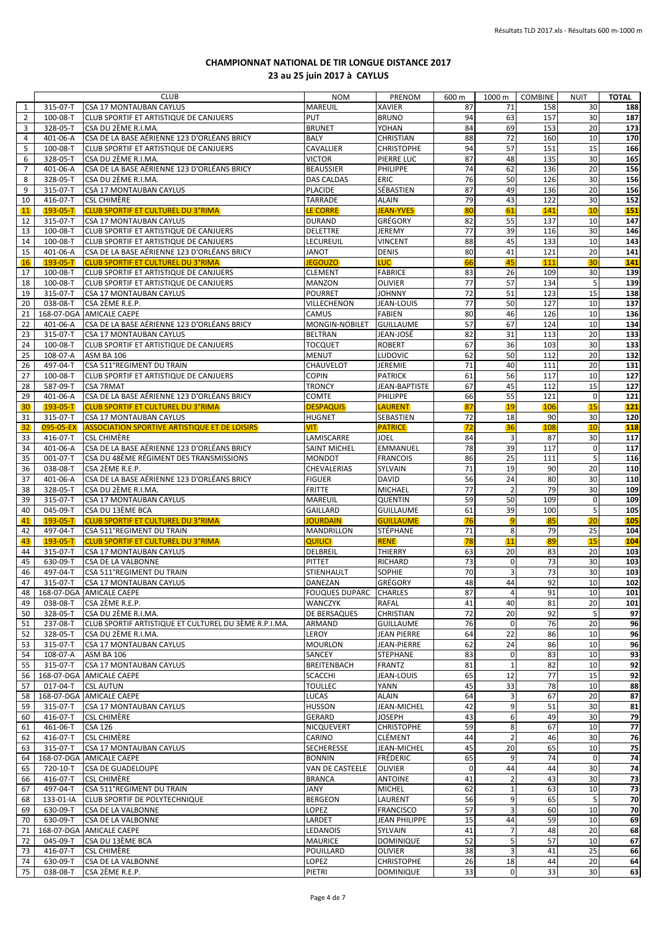|                |                | <b>CLUB</b>                                           | <b>NOM</b>                    | PRENOM             | 600 m       | 1000 m         | <b>COMBINE</b> | <b>NUIT</b> | <b>TOTAL</b> |
|----------------|----------------|-------------------------------------------------------|-------------------------------|--------------------|-------------|----------------|----------------|-------------|--------------|
| 1              | 315-07-T       | <b>CSA 17 MONTAUBAN CAYLUS</b>                        | <b>MAREUIL</b>                | <b>XAVIER</b>      | 87          | 71             | 158            | 30          | 188          |
| 2              | 100-08-T       | CLUB SPORTIF ET ARTISTIQUE DE CANJUERS                | PUT                           | <b>BRUNO</b>       | 94          | 63             | 157            | 30          | 187          |
| 3              | 328-05-T       | CSA DU 2ÈME R.I.MA.                                   | <b>BRUNET</b>                 | YOHAN              | 84          | 69             | 153            | 20          | 173          |
| 4              | 401-06-A       | CSA DE LA BASE AÉRIENNE 123 D'ORLÉANS BRICY           | <b>BALY</b>                   | CHRISTIAN          | 88          | 72             | 160            | 10          | 170          |
| 5              | 100-08-T       | CLUB SPORTIF ET ARTISTIQUE DE CANJUERS                | CAVALLIER                     | <b>CHRISTOPHE</b>  | 94          | 57             | 151            | 15          | 166          |
| 6              | 328-05-T       | CSA DU 2ÈME R.I.MA.                                   | VICTOR                        | PIERRE LUC         | 87          | 48             | 135            | 30          | 165          |
| $\overline{7}$ | 401-06-A       | CSA DE LA BASE AÉRIENNE 123 D'ORLÉANS BRICY           | <b>BEAUSSIER</b>              | <b>PHILIPPE</b>    | 74          | 62             | 136            | 20          | 156          |
| 8              | 328-05-T       | CSA DU 2ÈME R.I.MA.                                   | <b>DAS CALDAS</b>             | <b>ERIC</b>        | 76          | 50             | 126            | 30          | 156          |
| 9              | 315-07-T       | <b>CSA 17 MONTAUBAN CAYLUS</b>                        | <b>PLACIDE</b>                | SÉBASTIEN          | 87          | 49             | 136            | 20          | 156          |
| 10             | 416-07-T       | <b>CSL CHIMÈRE</b>                                    | <b>TARRADE</b>                | ALAIN              | 79          | 43             | 122            | 30          | 152          |
| 11             | $193 - 05 - T$ | <b>CLUB SPORTIF ET CULTUREL DU 3°RIMA</b>             | <b>LE CORRE</b>               | <b>JEAN-YVES</b>   | 80          | 61             | 141            | 10          | 151          |
| 12             | 315-07-T       | <b>CSA 17 MONTAUBAN CAYLUS</b>                        | <b>DURAND</b>                 | GRÉGORY            | 82          | 55             | 137            | 10          | 147          |
| 13             | 100-08-T       | CLUB SPORTIF ET ARTISTIQUE DE CANJUERS                | DELETTRE                      | <b>JEREMY</b>      | 77          | 39             | 116            | 30          | 146          |
| 14             | 100-08-T       | CLUB SPORTIF ET ARTISTIQUE DE CANJUERS                | LECUREUIL                     | <b>VINCENT</b>     | 88          | 45             | 133            | 10          | 143          |
| 15             | 401-06-A       | CSA DE LA BASE AÉRIENNE 123 D'ORLÉANS BRICY           | JANOT                         | <b>DENIS</b>       | 80          | 41             | 121            | 20          | 141          |
| 16             | $193 - 05 - T$ | <b>CLUB SPORTIF ET CULTUREL DU 3°RIMA</b>             | <b>JEGOUZO</b>                | <b>LUC</b>         | 66          | 45             | 111            | 30          | 141          |
| 17             | 100-08-T       | CLUB SPORTIF ET ARTISTIQUE DE CANJUERS                | <b>CLEMENT</b>                | <b>FABRICE</b>     | 83          | 26             | 109            | 30          | 139          |
| 18             | 100-08-T       | CLUB SPORTIF ET ARTISTIQUE DE CANJUERS                | MANZON                        | OLIVIER            | 77          | 57             | 134            | 5           | 139          |
| 19             | 315-07-T       | <b>CSA 17 MONTAUBAN CAYLUS</b>                        | <b>POURRET</b>                | <b>JOHNNY</b>      | 72          | 51             | 123            | 15          | 138          |
| 20             | 038-08-T       | CSA 2ÈME R.E.P.                                       | VILLECHENON                   | JEAN-LOUIS         | 77          | 50             | 127            | 10          | 137          |
| 21             |                | 168-07-DGA AMICALE CAEPE                              | CAMUS                         | <b>FABIEN</b>      | 80          | 46             | 126            | 10          | 136          |
| 22             | 401-06-A       | CSA DE LA BASE AÉRIENNE 123 D'ORLÉANS BRICY           | MONGIN-NOBILET                | <b>GUILLAUME</b>   | 57          | 67             | 124            | 10          | 134          |
| 23             | 315-07-T       | <b>CSA 17 MONTAUBAN CAYLUS</b>                        | <b>BELTRAN</b>                | JEAN-JOSÉ          | 82          | 31             | 113            | 20          | 133          |
| 24             | 100-08-T       | CLUB SPORTIF ET ARTISTIQUE DE CANJUERS                | <b>TOCQUET</b>                | <b>ROBERT</b>      | 67          | 36             | 103            | 30          | 133          |
| 25             | 108-07-A       | <b>ASM BA 106</b>                                     | <b>MENUT</b>                  | <b>LUDOVIC</b>     | 62          | 50             | 112            | 20          | 132          |
| 26             | 497-04-T       | CSA 511°REGIMENT DU TRAIN                             | CHAUVELOT                     | JEREMIE            | 71          | 40             | 111            | 20          | 131          |
| 27             | 100-08-T       | <b>CLUB SPORTIF ET ARTISTIQUE DE CANJUERS</b>         | <b>COPIN</b>                  | <b>PATRICK</b>     | 61          | 56             | 117            | 10          | 127          |
| 28             | 587-09-T       | <b>CSA 7RMAT</b>                                      | <b>TRONCY</b>                 | JEAN-BAPTISTE      | 67          | 45             | 112            | 15          | 127          |
| 29             | 401-06-A       | CSA DE LA BASE AÉRIENNE 123 D'ORLÉANS BRICY           | <b>COMTE</b>                  | PHILIPPE           | 66          | 55             | 121            | $\Omega$    | 121          |
| 30             | $193 - 05 - T$ | <b>CLUB SPORTIF ET CULTUREL DU 3°RIMA</b>             | <b>DESPAQUIS</b>              | <b>LAURENT</b>     | 87          | 19             | 106            | 15          | 121          |
| 31             | 315-07-T       | <b>CSA 17 MONTAUBAN CAYLUS</b>                        | <b>HUGNET</b>                 | SEBASTIEN          | 72          | 18             | 90             | 30          | 120          |
| 32             | 095-05-EX      | <b>ASSOCIATION SPORTIVE ARTISTIQUE ET DE LOISIRS</b>  | VIT                           | <b>PATRICE</b>     | 72          | 36             | 108            | 10          | 118          |
| 33             | 416-07-T       | <b>CSL CHIMÈRE</b>                                    | LAMISCARRE                    | JOEL               | 84          | 3              | 87             | 30          | 117          |
| 34             | 401-06-A       | CSA DE LA BASE AÉRIENNE 123 D'ORLÉANS BRICY           | <b>SAINT MICHEL</b>           | EMMANUEL           | 78          | 39             | 117            | $\mathbf 0$ | 117          |
| 35             | 001-07-T       | CSA DU 48ÈME RÉGIMENT DES TRANSMISSIONS               | <b>MONDOT</b>                 | <b>FRANCOIS</b>    | 86          | 25             | 111            | 5           | 116          |
| 36             | 038-08-T       | CSA 2ÈME R.E.P.                                       | CHEVALERIAS                   | SYLVAIN            | 71          | 19             | 90             | 20          | 110          |
| 37             | 401-06-A       | CSA DE LA BASE AÉRIENNE 123 D'ORLÉANS BRICY           | <b>FIGUER</b>                 | <b>DAVID</b>       | 56          | 24             | 80             | 30          | 110          |
| 38             | 328-05-T       | CSA DU 2ÈME R.I.MA.                                   | <b>FRITTE</b>                 | MICHAEL            | 77          | $\overline{2}$ | 79             | 30          | 109          |
| 39             | 315-07-T       | <b>CSA 17 MONTAUBAN CAYLUS</b>                        | MAREUIL                       | QUENTIN            | 59          | 50             | 109            | $\mathbf 0$ | 109          |
| 40             | 045-09-T       | CSA DU 13ÈME BCA                                      | <b>GAILLARD</b>               | <b>GUILLAUME</b>   | 61          | 39             | 100            | 5           | 105          |
| 41             | $193 - 05 - T$ | <b>CLUB SPORTIF ET CULTUREL DU 3°RIMA</b>             | <b>JOURDAIN</b>               | <b>GUILLAUME</b>   | 76          | $\overline{9}$ | 85             | 20          | 105          |
| 42             | 497-04-T       | CSA 511°REGIMENT DU TRAIN                             | MANDRILLON                    | STÉPHANE           | 71          | 8              | 79             | 25          | 104          |
| 43             | $193 - 05 - T$ | <b>CLUB SPORTIF ET CULTUREL DU 3°RIMA</b>             | <b>QUILICI</b>                | <b>RENE</b>        | 78          | 11             | 89             | 15          | 104          |
| 44             | 315-07-T       | <b>CSA 17 MONTAUBAN CAYLUS</b>                        | DELBREIL                      | THIERRY            | 63          | 20             | 83             | 20          | 103          |
| 45             | 630-09-T       | <b>CSA DE LA VALBONNE</b>                             | <b>PITTET</b>                 | RICHARD            | 73          | $\mathbf 0$    | 73             | 30          | 103          |
| 46             | 497-04-T       | CSA 511°REGIMENT DU TRAIN                             | STIENHAULT                    | <b>SOPHIE</b>      | 70          | 3              | 73             | 30          | 103          |
| 47             | 315-07-T       | <b>CSA 17 MONTAUBAN CAYLUS</b>                        | DANEZAN                       | GRÉGORY            | 48          | 44             | 92             | 10          | 102          |
| 48             |                | 168-07-DGA AMICALE CAEPE                              | <b>FOUQUES DUPARC CHARLES</b> |                    | 87          | $\overline{a}$ | 91             | 10          | 101          |
| 49             | 038-08-T       | CSA 2ÈME R.E.P.                                       | WANCZYK                       | RAFAL              | 41          | 40             | 81             | 20          | 101          |
| 50             | 328-05-T       | CSA DU 2ÈME R.I.MA.                                   | DE BERSAQUES                  | CHRISTIAN          | 72          | 20             | 92             | 5           | 97           |
| 51             | 237-08-T       | CLUB SPORTIF ARTISTIQUE ET CULTUREL DU 3ÈME R.P.I.MA. | ARMAND                        | <b>GUILLAUME</b>   | 76          | $\mathbf 0$    | 76             | 20          | 96           |
| 52             | 328-05-T       | CSA DU 2ÈME R.I.MA.                                   | LEROY                         | <b>JEAN PIERRE</b> | 64          | 22             | 86             | 10          | 96           |
| 53             | 315-07-T       | <b>CSA 17 MONTAUBAN CAYLUS</b>                        | <b>MOURLON</b>                | JEAN-PIERRE        | 62          | 24             | 86             | 10          | 96           |
| 54             | 108-07-A       | ASM BA 106                                            | SANCEY                        | STEPHANE           | 83          | $\mathbf 0$    | 83             | 10          | 93           |
| 55             | 315-07-T       | <b>CSA 17 MONTAUBAN CAYLUS</b>                        | <b>BREITENBACH</b>            | <b>FRANTZ</b>      | 81          | $\mathbf{1}$   | 82             | 10          | 92           |
| 56             |                | 168-07-DGA AMICALE CAEPE                              | SCACCHI                       | JEAN-LOUIS         | 65          | 12             | 77             | 15          | 92           |
| 57             | 017-04-T       | <b>CSL AUTUN</b>                                      | <b>TOULLEC</b>                | YANN               | 45          | 33             | 78             | 10          | 88           |
| 58             |                | 168-07-DGA AMICALE CAEPE                              | LUCAS                         | <b>ALAIN</b>       | 64          | 3              | 67             | 20          | 87           |
| 59             | 315-07-T       | <b>CSA 17 MONTAUBAN CAYLUS</b>                        | <b>HUSSON</b>                 | JEAN-MICHEL        | 42          | 9              | 51             | 30          | 81           |
| 60             | 416-07-T       | <b>CSL CHIMÈRE</b>                                    | <b>GERARD</b>                 | JOSEPH             | 43          | 6              | 49             | 30          | 79           |
| 61             | 461-06-T       | <b>CSA 126</b>                                        | NICQUEVERT                    | <b>CHRISTOPHE</b>  | 59          | 8              | 67             | 10          | 77           |
| 62             | 416-07-T       | <b>CSL CHIMÈRE</b>                                    | CARINO                        | CLÉMENT            | 44          | $\mathbf 2$    | 46             | 30          | 76           |
| 63             | 315-07-T       | CSA 17 MONTAUBAN CAYLUS                               | SECHERESSE                    | JEAN-MICHEL        | 45          | 20             | 65             | 10          | 75           |
| 64             |                | 168-07-DGA AMICALE CAEPE                              | <b>BONNIN</b>                 | FRÉDERIC           | 65          | 9              | 74             | $\mathbf 0$ | 74           |
| 65             | 720-10-T       | <b>CSA DE GUADELOUPE</b>                              | VAN DE CASTEELE               | <b>OLIVIER</b>     | $\mathbf 0$ | 44             | 44             | 30          | 74           |
| 66             | 416-07-T       | <b>CSL CHIMÈRE</b>                                    | <b>BRANCA</b>                 | <b>ANTOINE</b>     | 41          | $\mathbf 2$    | 43             | 30          | 73           |
| 67             | 497-04-T       | CSA 511°REGIMENT DU TRAIN                             | JANY                          | <b>MICHEL</b>      | 62          | $\mathbf{1}$   | 63             | 10          | 73           |
| 68             | 133-01-IA      | <b>CLUB SPORTIF DE POLYTECHNIQUE</b>                  | <b>BERGEON</b>                | LAURENT            | 56          | 9              | 65             | 5           | 70           |
| 69             | 630-09-T       | <b>CSA DE LA VALBONNE</b>                             | LOPEZ                         | <b>FRANCISCO</b>   | 57          | 3              | 60             | 10          | 70           |
| 70             | 630-09-T       | <b>CSA DE LA VALBONNE</b>                             | LARDET                        | JEAN PHILIPPE      | 15          | 44             | 59             | 10          | 69           |
| 71             |                | 168-07-DGA AMICALE CAEPE                              | LEDANOIS                      | SYLVAIN            | 41          | $\overline{7}$ | 48             | 20          | 68           |
| 72             | 045-09-T       | CSA DU 13ÈME BCA                                      | <b>MAURICE</b>                | <b>DOMINIQUE</b>   | 52          | 5              | 57             | 10          | 67           |
| 73             | 416-07-T       | <b>CSL CHIMÈRE</b>                                    | POUILLARD                     | <b>OLIVIER</b>     | 38          | 3              | 41             | 25          | 66           |
| 74             | 630-09-T       | <b>CSA DE LA VALBONNE</b>                             | LOPEZ                         | <b>CHRISTOPHE</b>  | 26          | 18             | 44             | 20          | 64           |
| 75             | 038-08-T       | CSA 2ÈME R.E.P.                                       | PIETRI                        | <b>DOMINIQUE</b>   | 33          | $\overline{0}$ | 33             | 30          | 63           |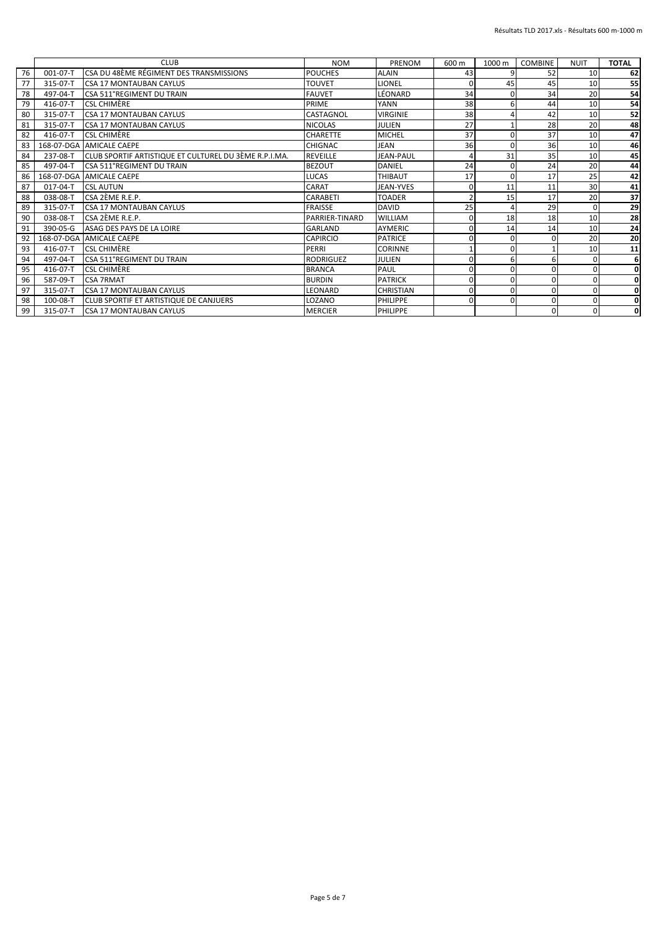|    |          | <b>CLUB</b>                                           | <b>NOM</b>       | PRENOM           | 600 m          | 1000 m   | <b>COMBINE</b> | <b>NUIT</b> | <b>TOTAL</b> |
|----|----------|-------------------------------------------------------|------------------|------------------|----------------|----------|----------------|-------------|--------------|
| 76 | 001-07-T | CSA DU 48ÈME RÉGIMENT DES TRANSMISSIONS               | <b>POUCHES</b>   | <b>ALAIN</b>     | 43             |          | 52             | 10          | 62           |
| 77 | 315-07-T | <b>CSA 17 MONTAUBAN CAYLUS</b>                        | <b>TOUVET</b>    | LIONEL           | $\Omega$       | 45       | 45             | 10          | 55           |
| 78 | 497-04-T | CSA 511°REGIMENT DU TRAIN                             | <b>FAUVET</b>    | LÉONARD          | 34             | O        | 34             | 20          | 54           |
| 79 | 416-07-T | <b>CSL CHIMÈRE</b>                                    | PRIME            | YANN             | 38             | 6        | 44             | 10          | 54           |
| 80 | 315-07-T | <b>CSA 17 MONTAUBAN CAYLUS</b>                        | CASTAGNOL        | <b>VIRGINIE</b>  | 38             |          | 42             | 10          | 52           |
| 81 | 315-07-T | <b>ICSA 17 MONTAUBAN CAYLUS</b>                       | <b>NICOLAS</b>   | JULIEN           | 27             |          | 28             | 20          | 48           |
| 82 | 416-07-T | <b>CSL CHIMÈRE</b>                                    | <b>CHARETTE</b>  | <b>MICHEL</b>    | 37             | $\Omega$ | 37             | 10          | 47           |
| 83 |          | 168-07-DGA AMICALE CAEPE                              | CHIGNAC          | <b>JEAN</b>      | 36             | O        | 36             | 10          | 46           |
| 84 | 237-08-T | CLUB SPORTIF ARTISTIQUE ET CULTUREL DU 3ÈME R.P.I.MA. | <b>REVEILLE</b>  | <b>JEAN-PAUL</b> |                | 31       | 35             | 10          | 45           |
| 85 | 497-04-T | <b>CSA 511°REGIMENT DU TRAIN</b>                      | <b>BEZOUT</b>    | <b>DANIEL</b>    | 24             | O        | 24             | 20          | 44           |
| 86 |          | 168-07-DGA AMICALE CAEPE                              | <b>LUCAS</b>     | <b>THIBAUT</b>   | 17             | O        | 17             | 25          | 42           |
| 87 | 017-04-T | <b>CSL AUTUN</b>                                      | CARAT            | JEAN-YVES        | 0              | 11       | 11             | 30          | 41           |
| 88 | 038-08-T | CSA 2ÈME R.E.P.                                       | CARABETI         | <b>TOADER</b>    | $\overline{2}$ | 15       | 17             | 20          | 37           |
| 89 | 315-07-T | <b>CSA 17 MONTAUBAN CAYLUS</b>                        | <b>FRAISSE</b>   | <b>DAVID</b>     | 25             |          | 29             |             | 29           |
| 90 | 038-08-T | CSA 2ÈME R.E.P.                                       | PARRIER-TINARD   | <b>WILLIAM</b>   | 0              | 18       | 18             | 10          | 28           |
| 91 | 390-05-G | ASAG DES PAYS DE LA LOIRE                             | <b>GARLAND</b>   | <b>AYMERIC</b>   | $\mathbf 0$    | 14       | 14             | 10          | 24           |
| 92 |          | 168-07-DGA AMICALE CAEPE                              | CAPIRCIO         | <b>PATRICE</b>   | $\Omega$       | O        | $\Omega$       | 20          | 20           |
| 93 | 416-07-T | <b>CSL CHIMÈRE</b>                                    | PERRI            | <b>CORINNE</b>   |                | O        |                | 10          | 11           |
| 94 | 497-04-T | <b>CSA 511°REGIMENT DU TRAIN</b>                      | <b>RODRIGUEZ</b> | <b>JULIEN</b>    | $\Omega$       | 6        | 6              |             | 6            |
| 95 | 416-07-T | <b>CSL CHIMÈRE</b>                                    | <b>BRANCA</b>    | PAUL             | $\mathbf 0$    | $\Omega$ | 0              |             | 0            |
| 96 | 587-09-T | <b>CSA 7RMAT</b>                                      | <b>BURDIN</b>    | <b>PATRICK</b>   | $\mathbf 0$    | O        | 0              |             | 0            |
| 97 | 315-07-T | <b>CSA 17 MONTAUBAN CAYLUS</b>                        | LEONARD          | <b>CHRISTIAN</b> | $\Omega$       | O        | $\Omega$       |             | 0            |
| 98 | 100-08-T | <b>ICLUB SPORTIF ET ARTISTIQUE DE CANJUERS</b>        | LOZANO           | PHILIPPE         | $\Omega$       | $\Omega$ | 0              |             | 0            |
| 99 | 315-07-T | <b>CSA 17 MONTAUBAN CAYLUS</b>                        | <b>MERCIER</b>   | PHILIPPE         |                |          | $\Omega$       |             | 0            |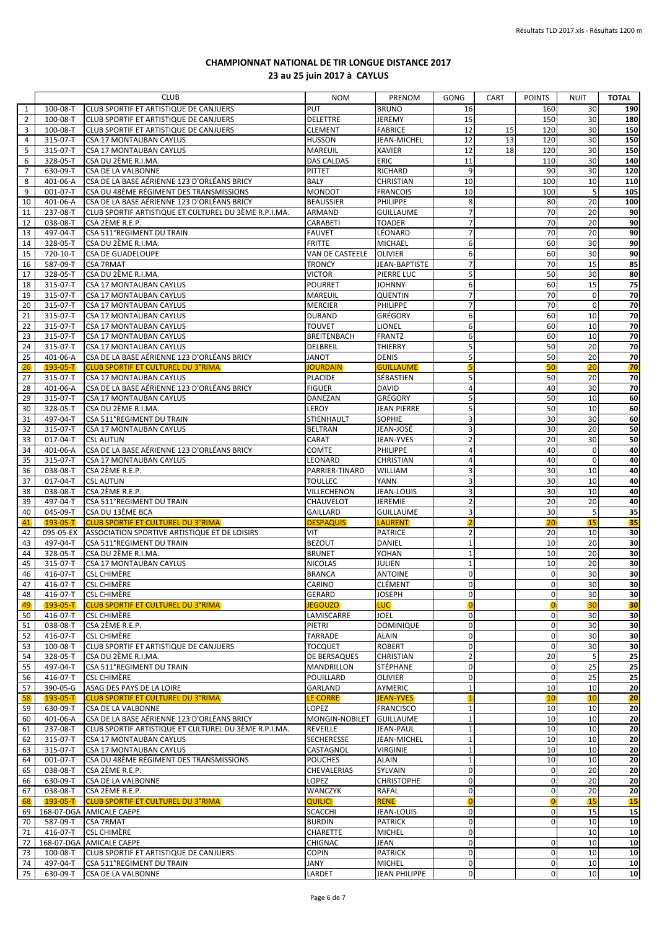|                |                            | <b>CLUB</b>                                                            | <b>NOM</b>                          | <b>PRENOM</b>                    | <b>GONG</b>                   | CART | <b>POINTS</b>               | <b>NUIT</b> | <b>TOTAL</b>          |
|----------------|----------------------------|------------------------------------------------------------------------|-------------------------------------|----------------------------------|-------------------------------|------|-----------------------------|-------------|-----------------------|
| $\mathbf{1}$   | 100-08-T                   | CLUB SPORTIF ET ARTISTIQUE DE CANJUERS                                 | PUT                                 | <b>BRUNO</b>                     | 16                            |      | 160                         | 30          | 190                   |
| $\overline{2}$ | 100-08-T                   | CLUB SPORTIF ET ARTISTIQUE DE CANJUERS                                 | <b>DELETTRE</b>                     | <b>JEREMY</b>                    | 15                            |      | 150                         | 30          | 180                   |
| 3              | 100-08-T                   | CLUB SPORTIF ET ARTISTIQUE DE CANJUERS                                 | <b>CLEMENT</b>                      | <b>FABRICE</b>                   | 12                            | 15   | 120                         | 30          | 150                   |
| $\overline{4}$ | 315-07-T                   | CSA 17 MONTAUBAN CAYLUS                                                | <b>HUSSON</b>                       | JEAN-MICHEL                      | 12                            | 13   | 120                         | 30          | 150                   |
| 5<br>6         | 315-07-T<br>328-05-T       | <b>CSA 17 MONTAUBAN CAYLUS</b><br>CSA DU 2ÈME R.I.MA.                  | <b>MAREUIL</b><br><b>DAS CALDAS</b> | <b>XAVIER</b><br>ERIC            | 12<br>11                      | 18   | 120<br>110                  | 30<br>30    | 150<br>140            |
| $\overline{7}$ | 630-09-T                   | <b>CSA DE LA VALBONNE</b>                                              | <b>PITTET</b>                       | <b>RICHARD</b>                   | 9                             |      | 90                          | 30          | 120                   |
| 8              | 401-06-A                   | CSA DE LA BASE AÉRIENNE 123 D'ORLÉANS BRICY                            | BALY                                | CHRISTIAN                        | 10                            |      | 100                         | 10          | 110                   |
| 9              | $001-07-T$                 | CSA DU 48ÈME RÉGIMENT DES TRANSMISSIONS                                | <b>MONDOT</b>                       | <b>FRANCOIS</b>                  | 10                            |      | 100                         | 5           | 105                   |
| 10             | 401-06-A                   | CSA DE LA BASE AÉRIENNE 123 D'ORLÉANS BRICY                            | <b>BEAUSSIER</b>                    | PHILIPPE                         | 8                             |      | 80                          | 20          | 100                   |
| 11             | 237-08-T                   | CLUB SPORTIF ARTISTIQUE ET CULTUREL DU 3ÈME R.P.I.MA.                  | ARMAND                              | <b>GUILLAUME</b>                 | 7 <sup>1</sup>                |      | 70                          | 20          | 90                    |
| 12             | 038-08-T                   | CSA 2ÈME R.E.P.                                                        | CARABETI                            | <b>TOADER</b>                    | 7 <sup>1</sup>                |      | 70                          | 20          | 90                    |
| 13             | 497-04-T                   | CSA 511°REGIMENT DU TRAIN                                              | <b>FAUVET</b>                       | LÉONARD                          | $\overline{7}$                |      | 70                          | 20          | 90                    |
| 14             | 328-05-T                   | CSA DU 2ÈME R.I.MA.                                                    | <b>FRITTE</b>                       | <b>MICHAEL</b>                   | 6                             |      | 60                          | 30          | 90                    |
| 15             | 720-10-T                   | <b>CSA DE GUADELOUPE</b>                                               | VAN DE CASTEELE                     | <b>OLIVIER</b>                   | 6<br>$\overline{7}$           |      | 60                          | 30<br>15    | 90                    |
| 16<br>17       | 587-09-T<br>328-05-T       | <b>CSA 7RMAT</b><br>CSA DU 2ÈME R.I.MA.                                | <b>TRONCY</b><br><b>VICTOR</b>      | JEAN-BAPTISTE<br>PIERRE LUC      | 5 <sub>l</sub>                |      | 70<br>50                    | 30          | 85<br>80              |
| 18             | 315-07-T                   | <b>CSA 17 MONTAUBAN CAYLUS</b>                                         | <b>POURRET</b>                      | <b>JOHNNY</b>                    | 6                             |      | 60                          | 15          | 75                    |
| 19             | 315-07-T                   | CSA 17 MONTAUBAN CAYLUS                                                | MAREUIL                             | <b>QUENTIN</b>                   | $\overline{7}$                |      | 70                          | $\mathbf 0$ | ${\bf 70}$            |
| 20             | 315-07-T                   | CSA 17 MONTAUBAN CAYLUS                                                | <b>MERCIER</b>                      | PHILIPPE                         | $7 \overline{ }$              |      | 70                          | $\mathbf 0$ | 70                    |
| 21             | 315-07-T                   | CSA 17 MONTAUBAN CAYLUS                                                | <b>DURAND</b>                       | GRÉGORY                          | 6                             |      | 60                          | 10          | 70                    |
| 22             | 315-07-T                   | <b>CSA 17 MONTAUBAN CAYLUS</b>                                         | <b>TOUVET</b>                       | LIONEL                           | 6                             |      | 60                          | 10          | 70                    |
| 23             | 315-07-T                   | CSA 17 MONTAUBAN CAYLUS                                                | <b>BREITENBACH</b>                  | <b>FRANTZ</b>                    | 6                             |      | 60                          | 10          | 70                    |
| 24             | 315-07-T                   | CSA 17 MONTAUBAN CAYLUS                                                | DELBREIL                            | THIERRY                          | 5                             |      | 50                          | 20          | $\overline{10}$       |
| 25             | 401-06-A                   | CSA DE LA BASE AÉRIENNE 123 D'ORLÉANS BRICY                            | <b>JANOT</b>                        | <b>DENIS</b>                     | 5 <sub>1</sub>                |      | 50                          | 20          | 70                    |
| 26             | $193 - 05 - T$             | <b>CLUB SPORTIF ET CULTUREL DU 3°RIMA</b>                              | <b>JOURDAIN</b>                     | <b>GUILLAUME</b>                 | 5                             |      | 50                          | 20          | 70                    |
| 27<br>28       | 315-07-T<br>401-06-A       | CSA 17 MONTAUBAN CAYLUS<br>CSA DE LA BASE AÉRIENNE 123 D'ORLÉANS BRICY | <b>PLACIDE</b><br><b>FIGUER</b>     | SÉBASTIEN<br><b>DAVID</b>        | 5<br>$\overline{4}$           |      | 50<br>40                    | 20<br>30    | 70<br>70              |
| 29             | 315-07-T                   | CSA 17 MONTAUBAN CAYLUS                                                | DANEZAN                             | <b>GRÉGORY</b>                   | 5 <sub>l</sub>                |      | 50                          | 10          | 60                    |
| 30             | 328-05-T                   | CSA DU 2ÈME R.I.MA.                                                    | LEROY                               | <b>JEAN PIERRE</b>               | 5                             |      | 50                          | 10          | 60                    |
| 31             | 497-04-T                   | CSA 511°REGIMENT DU TRAIN                                              | STIENHAULT                          | SOPHIE                           | 3                             |      | 30                          | 30          | 60                    |
| 32             | 315-07-T                   | CSA 17 MONTAUBAN CAYLUS                                                | <b>BELTRAN</b>                      | JEAN-JOSÉ                        | $\overline{3}$                |      | 30                          | 20          | 50                    |
| 33             | $017 - 04 - T$             | <b>CSL AUTUN</b>                                                       | CARAT                               | JEAN-YVES                        | $\overline{2}$                |      | 20                          | 30          | 50                    |
| 34             | 401-06-A                   | CSA DE LA BASE AÉRIENNE 123 D'ORLÉANS BRICY                            | COMTE                               | PHILIPPE                         | $\overline{4}$                |      | 40                          | $\mathbf 0$ | 40                    |
| 35             | 315-07-T                   | <b>CSA 17 MONTAUBAN CAYLUS</b>                                         | LEONARD                             | <b>CHRISTIAN</b>                 | $\overline{4}$                |      | 40                          | $\mathbf 0$ | 40                    |
| 36<br>37       | 038-08-T<br>$017 - 04 - T$ | CSA 2ÈME R.E.P.<br><b>CSL AUTUN</b>                                    | PARRIER-TINARD<br><b>TOULLEC</b>    | WILLIAM<br><b>YANN</b>           | $\overline{3}$<br>3           |      | 30<br>30                    | 10<br>10    | 40<br>40              |
| 38             | 038-08-T                   | CSA 2ÈME R.E.P.                                                        | VILLECHENON                         | <b>JEAN-LOUIS</b>                | 3                             |      | 30                          | 10          | 40                    |
| 39             | 497-04-T                   | CSA 511°REGIMENT DU TRAIN                                              | CHAUVELOT                           | JEREMIE                          | $\overline{2}$                |      | 20                          | 20          | 40                    |
| 40             | 045-09-T                   | CSA DU 13ÈME BCA                                                       | GAILLARD                            | <b>GUILLAUME</b>                 | 3                             |      | 30                          | 5           | 35                    |
| 41             | $193 - 05 - T$             | <b>CLUB SPORTIF ET CULTUREL DU 3°RIMA</b>                              | <b>DESPAQUIS</b>                    | LAURENT                          | $\overline{2}$                |      | 20                          | 15          | 35                    |
| 42             | 095-05-EX                  | ASSOCIATION SPORTIVE ARTISTIQUE ET DE LOISIRS                          | VIT                                 | <b>PATRICE</b>                   | $\overline{2}$                |      | 20                          | 10          | 30                    |
| 43             | 497-04-T                   | CSA 511°REGIMENT DU TRAIN                                              | <b>BEZOUT</b>                       | DANIEL                           | $\mathbf{1}$                  |      | 10                          | 20          | 30                    |
| 44             | 328-05-T                   | CSA DU 2ÈME R.I.MA.                                                    | <b>BRUNET</b>                       | YOHAN                            | $\mathbf{1}$                  |      | 10                          | 20          | 30                    |
| 45             | 315-07-T                   | <b>CSA 17 MONTAUBAN CAYLUS</b>                                         | <b>NICOLAS</b>                      | JULIEN                           | $\mathbf{1}$<br>$\mathbf 0$   |      | 10                          | 20          | $30\,$                |
| 46<br>47       | 416-07-T<br>416-07-T       | <b>CSL CHIMÈRE</b><br><b>CSL CHIMÈRE</b>                               | <b>BRANCA</b><br>CARINO             | <b>ANTOINE</b><br><b>CLÉMENT</b> | $\Omega$                      |      | $\mathbf 0$<br>$\Omega$     | 30<br>30    | 30<br>30 <sup>1</sup> |
| 48             | 416-07-T                   | <b>CSL CHIMÈRE</b>                                                     | <b>GERARD</b>                       | <b>JOSEPH</b>                    | $\mathbf 0$                   |      | 0                           | 30          | 30                    |
| 49             | $193 - 05 - T$             | <b>CLUB SPORTIF ET CULTUREL DU 3°RIMA</b>                              | <b>JEGOUZO</b>                      | <b>LUC</b>                       | $\overline{0}$                |      |                             | 30          | 30                    |
| 50             | 416-07-T                   | <b>CSL CHIMÈRE</b>                                                     | LAMISCARRE                          | JOEL                             | $\overline{0}$                |      | $\mathbf 0$                 | 30          | 30                    |
| 51             | 038-08-T                   | CSA 2ÈME R.E.P.                                                        | PIETRI                              | <b>DOMINIQUE</b>                 | $\mathbf 0$                   |      | $\mathbf{0}$                | 30          | 30                    |
| 52             | 416-07-T                   | <b>CSL CHIMÈRE</b>                                                     | <b>TARRADE</b>                      | <b>ALAIN</b>                     | $\mathbf 0$                   |      | $\mathbf 0$                 | 30          | 30                    |
| 53             | 100-08-T                   | CLUB SPORTIF ET ARTISTIQUE DE CANJUERS                                 | <b>TOCQUET</b>                      | <b>ROBERT</b>                    | $\mathbf 0$                   |      | $\mathbf 0$                 | 30          | 30                    |
| 54             | 328-05-T                   | CSA DU 2ÈME R.I.MA.                                                    | <b>DE BERSAQUES</b>                 | CHRISTIAN                        | $\overline{2}$<br>$\mathbf 0$ |      | 20                          | 5           | 25                    |
| 55<br>56       | 497-04-T<br>416-07-T       | CSA 511°REGIMENT DU TRAIN<br><b>CSL CHIMÈRE</b>                        | <b>MANDRILLON</b><br>POUILLARD      | STÉPHANE<br><b>OLIVIER</b>       | $\mathbf 0$                   |      | $\mathbf{0}$<br>$\mathbf 0$ | 25<br>25    | 25<br>25              |
| 57             | 390-05-G                   | ASAG DES PAYS DE LA LOIRE                                              | GARLAND                             | AYMERIC                          | $\mathbf{1}$                  |      | 10                          | 10          | 20                    |
| 58             | $193 - 05 - T$             | <b>CLUB SPORTIF ET CULTUREL DU 3°RIMA</b>                              | <b>LE CORRE</b>                     | <b>JEAN-YVES</b>                 | $\overline{\mathbf{1}}$       |      | 10                          | <b>10</b>   | 20                    |
| 59             | 630-09-T                   | <b>CSA DE LA VALBONNE</b>                                              | LOPEZ                               | <b>FRANCISCO</b>                 | $1\vert$                      |      | 10                          | 10          | 20                    |
| 60             | 401-06-A                   | CSA DE LA BASE AÉRIENNE 123 D'ORLÉANS BRICY                            | MONGIN-NOBILET                      | <b>GUILLAUME</b>                 | $\mathbf{1}$                  |      | 10                          | 10          | 20                    |
| 61             | 237-08-T                   | CLUB SPORTIF ARTISTIQUE ET CULTUREL DU 3ÈME R.P.I.MA.                  | <b>REVEILLE</b>                     | <b>JEAN-PAUL</b>                 | $1\overline{ }$               |      | 10                          | 10          | 20                    |
| 62             | 315-07-T                   | CSA 17 MONTAUBAN CAYLUS                                                | SECHERESSE                          | JEAN-MICHEL                      | $\mathbf{1}$                  |      | 10                          | 10          | 20                    |
| 63             | 315-07-T                   | <b>CSA 17 MONTAUBAN CAYLUS</b>                                         | CASTAGNOL                           | <b>VIRGINIE</b>                  | $1\overline{ }$               |      | 10                          | 10          | 20                    |
| 64             | $001-07-T$                 | CSA DU 48ÈME RÉGIMENT DES TRANSMISSIONS                                | <b>POUCHES</b>                      | <b>ALAIN</b>                     | $\mathbf{1}$<br>$\mathbf 0$   |      | 10                          | 10          | 20                    |
| 65<br>66       | 038-08-T<br>630-09-T       | CSA 2ÈME R.E.P.<br>CSA DE LA VALBONNE                                  | CHEVALERIAS<br>LOPEZ                | SYLVAIN<br><b>CHRISTOPHE</b>     | $\mathbf{0}$                  |      | $\mathbf 0$<br>$\mathbf 0$  | 20<br>20    | 20<br>20              |
| 67             | 038-08-T                   | CSA 2ÈME R.E.P.                                                        | WANCZYK                             | <b>RAFAL</b>                     | $\mathbf 0$                   |      | $\mathbf{0}$                | 20          | 20                    |
| 68             | $193 - 05 - T$             | <b>CLUB SPORTIF ET CULTUREL DU 3°RIMA</b>                              | <b>QUILICI</b>                      | <b>RENE</b>                      | $\overline{0}$                |      | $\overline{0}$              | 15          | <b>15</b>             |
| 69             |                            | 168-07-DGA AMICALE CAEPE                                               | <b>SCACCHI</b>                      | <b>JEAN-LOUIS</b>                | $\mathbf 0$                   |      | $\mathbf 0$                 | 15          | 15                    |
| 70             | 587-09-T                   | <b>CSA 7RMAT</b>                                                       | <b>BURDIN</b>                       | <b>PATRICK</b>                   | $\mathbf 0$                   |      | 0                           | 10          | ${\bf 10}$            |
| 71             | 416-07-T                   | <b>CSL CHIMÈRE</b>                                                     | CHARETTE                            | <b>MICHEL</b>                    | $\mathbf 0$                   |      |                             | 10          | 10                    |
| 72             |                            | 168-07-DGA AMICALE CAEPE                                               | <b>CHIGNAC</b>                      | JEAN                             | $\mathbf{0}$                  |      | $\mathbf{0}$                | 10          | 10                    |
| 73<br>74       | 100-08-T<br>497-04-T       | CLUB SPORTIF ET ARTISTIQUE DE CANJUERS<br>CSA 511°REGIMENT DU TRAIN    | COPIN<br>JANY                       | <b>PATRICK</b><br><b>MICHEL</b>  | $\mathbf 0$<br>$\overline{0}$ |      | $\mathbf 0$<br>$\mathbf 0$  | 10<br>10    | 10<br>10              |
| 75             | 630-09-T                   | <b>CSA DE LA VALBONNE</b>                                              | LARDET                              | <b>JEAN PHILIPPE</b>             | $\overline{0}$                |      | $\mathbf 0$                 | 10          | 10                    |
|                |                            |                                                                        |                                     |                                  |                               |      |                             |             |                       |